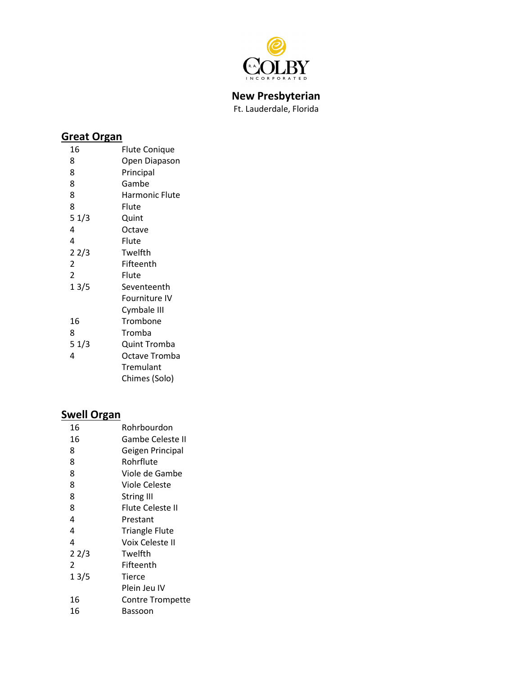

**New Presbyterian**

Ft. Lauderdale, Florida

## **Great Organ**

| 16             | Flute Conique  |
|----------------|----------------|
| 8              | Open Diapason  |
| 8              | Principal      |
| 8              | Gambe          |
| 8              | Harmonic Flute |
| 8              | Flute          |
| 51/3           | Quint          |
| 4              | Octave         |
| 4              | Flute          |
| 22/3           | Twelfth        |
| $\overline{2}$ | Fifteenth      |
| $\overline{2}$ | Flute          |
| 13/5           | Seventeenth    |
|                | Fourniture IV  |
|                | Cymbale III    |
| 16             | Trombone       |
| 8              | Tromba         |
| 51/3           | Quint Tromba   |
| 4              | Octave Tromba  |
|                | Tremulant      |
|                | Chimes (Solo)  |

## **Swell Organ**

| 16   | Rohrbourdon             |
|------|-------------------------|
| 16   | Gambe Celeste II        |
| 8    | Geigen Principal        |
| 8    | Rohrflute               |
| 8    | Viole de Gambe          |
| 8    | Viole Celeste           |
| 8    | <b>String III</b>       |
| 8    | Flute Celeste II        |
| 4    | Prestant                |
| 4    | <b>Triangle Flute</b>   |
| 4    | Voix Celeste II         |
| 22/3 | Twelfth                 |
| 2    | Fifteenth               |
| 13/5 | Tierce                  |
|      | Plein Jeu IV            |
| 16   | <b>Contre Trompette</b> |
| 16   | Bassoon                 |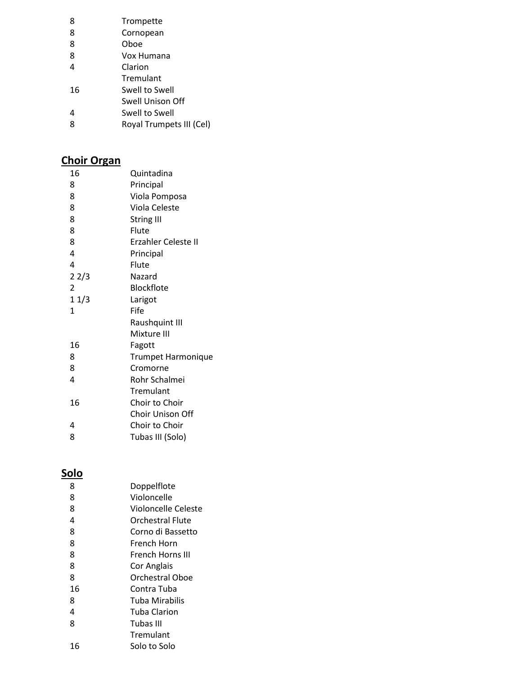| 8  | Trompette                |
|----|--------------------------|
| 8  | Cornopean                |
| 8  | Oboe                     |
| 8  | Vox Humana               |
| 4  | Clarion                  |
|    | Tremulant                |
| 16 | Swell to Swell           |
|    | Swell Unison Off         |
| 4  | Swell to Swell           |
| 8  | Royal Trumpets III (Cel) |
|    |                          |

### **Choir Organ**

| 16             | Quintadina                |
|----------------|---------------------------|
| 8              | Principal                 |
| 8              | Viola Pomposa             |
| 8              | Viola Celeste             |
| 8              | <b>String III</b>         |
| 8              | Flute                     |
| 8              | Erzahler Celeste II       |
| 4              | Principal                 |
| 4              | Flute                     |
| 22/3           | Nazard                    |
| $\overline{2}$ | Blockflote                |
| 11/3           | Larigot                   |
| 1              | Fife                      |
|                | Raushquint III            |
|                | Mixture III               |
| 16             | Fagott                    |
| 8              | <b>Trumpet Harmonique</b> |
| 8              | Cromorne                  |
| 4              | Rohr Schalmei             |
|                | Tremulant                 |
| 16             | Choir to Choir            |
|                | Choir Unison Off          |
| 4              | Choir to Choir            |
| 8              | Tubas III (Solo)          |

### **Solo**

| 8  | Doppelflote         |
|----|---------------------|
| 8  | Violoncelle         |
| 8  | Violoncelle Celeste |
| 4  | Orchestral Flute    |
| 8  | Corno di Bassetto   |
| 8  | French Horn         |
| 8  | French Horns III    |
| 8  | Cor Anglais         |
| 8  | Orchestral Oboe     |
| 16 | Contra Tuba         |
| 8  | Tuba Mirabilis      |
| 4  | Tuba Clarion        |
| 8  | Tubas III           |
|    | Tremulant           |
| 16 | Solo to Solo        |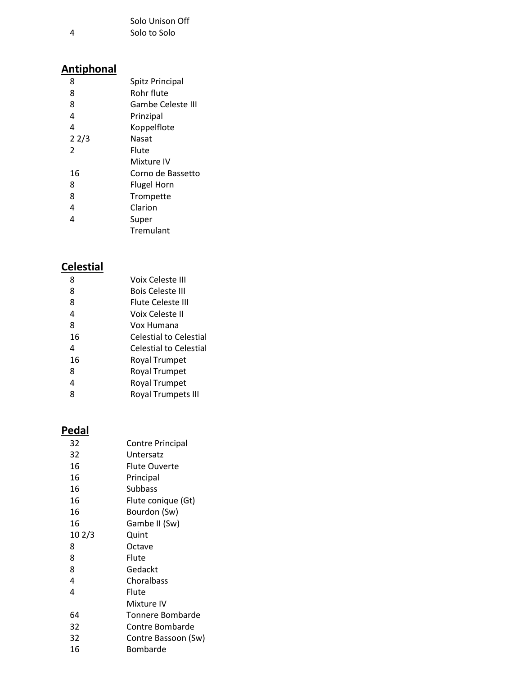|   | Solo Unison Off |
|---|-----------------|
| 4 | Solo to Solo    |

## **Antiphonal**

| 8             | Spitz Principal    |
|---------------|--------------------|
| 8             | Rohr flute         |
| 8             | Gambe Celeste III  |
| 4             | Prinzipal          |
| 4             | Koppelflote        |
| 22/3          | Nasat              |
| $\mathfrak z$ | Flute              |
|               | Mixture IV         |
| 16            | Corno de Bassetto  |
| 8             | <b>Flugel Horn</b> |
| 8             | Trompette          |
| 4             | Clarion            |
| 4             | Super              |
|               | Tremulant          |

## **Celestial**

| 8  | Voix Celeste III          |
|----|---------------------------|
| 8  | <b>Bois Celeste III</b>   |
| 8  | Flute Celeste III         |
| 4  | Voix Celeste II           |
| 8  | Vox Humana                |
| 16 | Celestial to Celestial    |
| 4  | Celestial to Celestial    |
| 16 | <b>Royal Trumpet</b>      |
| 8  | <b>Royal Trumpet</b>      |
| 4  | Royal Trumpet             |
| ጸ  | <b>Royal Trumpets III</b> |
|    |                           |

# **Pedal**

| 32     | Contre Principal    |
|--------|---------------------|
| 32     | Untersatz           |
| 16     | Flute Ouverte       |
| 16     | Principal           |
| 16     | Subbass             |
| 16     | Flute conique (Gt)  |
| 16     | Bourdon (Sw)        |
| 16     | Gambe II (Sw)       |
| 10 2/3 | Quint               |
| 8      | Octave              |
| 8      | Flute               |
| 8      | Gedackt             |
| 4      | Choralbass          |
| 4      | Flute               |
|        | Mixture IV          |
| 64     | Tonnere Bombarde    |
| 32     | Contre Bombarde     |
| 32     | Contre Bassoon (Sw) |
| 16     | Bombarde            |